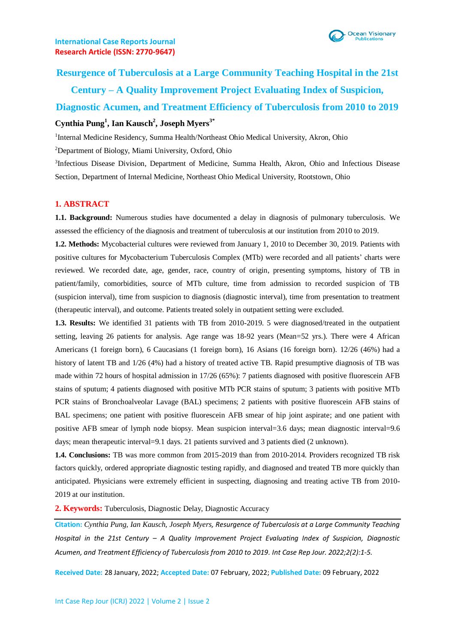

**Resurgence of Tuberculosis at a Large Community Teaching Hospital in the 21st Century – A Quality Improvement Project Evaluating Index of Suspicion, Diagnostic Acumen, and Treatment Efficiency of Tuberculosis from 2010 to 2019 Cynthia Pung<sup>1</sup> , Ian Kausch<sup>2</sup> , Joseph Myers3\***

<sup>1</sup>Internal Medicine Residency, Summa Health/Northeast Ohio Medical University, Akron, Ohio

<sup>2</sup>Department of Biology, Miami University, Oxford, Ohio

<sup>3</sup>Infectious Disease Division, Department of Medicine, Summa Health, Akron, Ohio and Infectious Disease Section, Department of Internal Medicine, Northeast Ohio Medical University, Rootstown, Ohio

### **1. ABSTRACT**

**1.1. Background:** Numerous studies have documented a delay in diagnosis of pulmonary tuberculosis. We assessed the efficiency of the diagnosis and treatment of tuberculosis at our institution from 2010 to 2019.

**1.2. Methods:** Mycobacterial cultures were reviewed from January 1, 2010 to December 30, 2019. Patients with positive cultures for Mycobacterium Tuberculosis Complex (MTb) were recorded and all patients' charts were reviewed. We recorded date, age, gender, race, country of origin, presenting symptoms, history of TB in patient/family, comorbidities, source of MTb culture, time from admission to recorded suspicion of TB (suspicion interval), time from suspicion to diagnosis (diagnostic interval), time from presentation to treatment (therapeutic interval), and outcome. Patients treated solely in outpatient setting were excluded.

**1.3. Results:** We identified 31 patients with TB from 2010-2019. 5 were diagnosed/treated in the outpatient setting, leaving 26 patients for analysis. Age range was 18-92 years (Mean=52 yrs.). There were 4 African Americans (1 foreign born), 6 Caucasians (1 foreign born), 16 Asians (16 foreign born). 12/26 (46%) had a history of latent TB and 1/26 (4%) had a history of treated active TB. Rapid presumptive diagnosis of TB was made within 72 hours of hospital admission in 17/26 (65%): 7 patients diagnosed with positive fluorescein AFB stains of sputum; 4 patients diagnosed with positive MTb PCR stains of sputum; 3 patients with positive MTb PCR stains of Bronchoalveolar Lavage (BAL) specimens; 2 patients with positive fluorescein AFB stains of BAL specimens; one patient with positive fluorescein AFB smear of hip joint aspirate; and one patient with positive AFB smear of lymph node biopsy. Mean suspicion interval=3.6 days; mean diagnostic interval=9.6 days; mean therapeutic interval=9.1 days. 21 patients survived and 3 patients died (2 unknown).

**1.4. Conclusions:** TB was more common from 2015-2019 than from 2010-2014. Providers recognized TB risk factors quickly, ordered appropriate diagnostic testing rapidly, and diagnosed and treated TB more quickly than anticipated. Physicians were extremely efficient in suspecting, diagnosing and treating active TB from 2010- 2019 at our institution.

**2. Keywords:** Tuberculosis, Diagnostic Delay, Diagnostic Accuracy

**Citation:** *Cynthia Pung, Ian Kausch, Joseph Myers, Resurgence of Tuberculosis at a Large Community Teaching Hospital in the 21st Century – A Quality Improvement Project Evaluating Index of Suspicion, Diagnostic Acumen, and Treatment Efficiency of Tuberculosis from 2010 to 2019. Int Case Rep Jour. 2022;2(2):1-5.*

**Received Date:** 28 January, 2022; **Accepted Date:** 07 February, 2022; **Published Date:** 09 February, 2022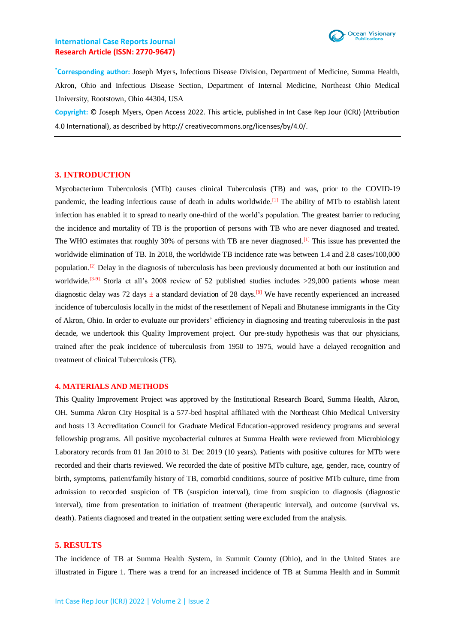

**\*Corresponding author:** Joseph Myers, Infectious Disease Division, Department of Medicine, Summa Health, Akron, Ohio and Infectious Disease Section, Department of Internal Medicine, Northeast Ohio Medical University, Rootstown, Ohio 44304, USA

**Copyright:** © Joseph Myers, Open Access 2022. This article, published in Int Case Rep Jour (ICRJ) (Attribution 4.0 International), as described by http:// creativecommons.org/licenses/by/4.0/.

#### **3. INTRODUCTION**

Mycobacterium Tuberculosis (MTb) causes clinical Tuberculosis (TB) and was, prior to the COVID-19 pandemic, the leading infectious cause of death in adults worldwide.[1] The ability of MTb to establish latent infection has enabled it to spread to nearly one-third of the world's population. The greatest barrier to reducing the incidence and mortality of TB is the proportion of persons with TB who are never diagnosed and treated. The WHO estimates that roughly 30% of persons with TB are never diagnosed.<sup>[1]</sup> This issue has prevented the worldwide elimination of TB. In 2018, the worldwide TB incidence rate was between 1.4 and 2.8 cases/100,000 population.<sup>[2]</sup> Delay in the diagnosis of tuberculosis has been previously documented at both our institution and worldwide.<sup>[3-9]</sup> Storla et all's 2008 review of 52 published studies includes >29,000 patients whose mean diagnostic delay was 72 days  $\pm$  a standard deviation of 28 days.<sup>[8]</sup> We have recently experienced an increased incidence of tuberculosis locally in the midst of the resettlement of Nepali and Bhutanese immigrants in the City of Akron, Ohio. In order to evaluate our providers' efficiency in diagnosing and treating tuberculosis in the past decade, we undertook this Quality Improvement project. Our pre-study hypothesis was that our physicians, trained after the peak incidence of tuberculosis from 1950 to 1975, would have a delayed recognition and treatment of clinical Tuberculosis (TB).

#### **4. MATERIALS AND METHODS**

This Quality Improvement Project was approved by the Institutional Research Board, Summa Health, Akron, OH. Summa Akron City Hospital is a 577-bed hospital affiliated with the Northeast Ohio Medical University and hosts 13 Accreditation Council for Graduate Medical Education-approved residency programs and several fellowship programs. All positive mycobacterial cultures at Summa Health were reviewed from Microbiology Laboratory records from 01 Jan 2010 to 31 Dec 2019 (10 years). Patients with positive cultures for MTb were recorded and their charts reviewed. We recorded the date of positive MTb culture, age, gender, race, country of birth, symptoms, patient/family history of TB, comorbid conditions, source of positive MTb culture, time from admission to recorded suspicion of TB (suspicion interval), time from suspicion to diagnosis (diagnostic interval), time from presentation to initiation of treatment (therapeutic interval), and outcome (survival vs. death). Patients diagnosed and treated in the outpatient setting were excluded from the analysis.

#### **5. RESULTS**

The incidence of TB at Summa Health System, in Summit County (Ohio), and in the United States are illustrated in Figure 1. There was a trend for an increased incidence of TB at Summa Health and in Summit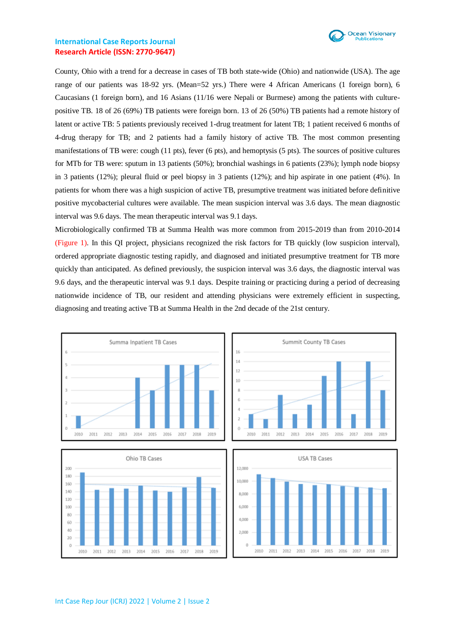

County, Ohio with a trend for a decrease in cases of TB both state-wide (Ohio) and nationwide (USA). The age range of our patients was 18-92 yrs. (Mean=52 yrs.) There were 4 African Americans (1 foreign born), 6 Caucasians (1 foreign born), and 16 Asians (11/16 were Nepali or Burmese) among the patients with culturepositive TB. 18 of 26 (69%) TB patients were foreign born. 13 of 26 (50%) TB patients had a remote history of latent or active TB: 5 patients previously received 1-drug treatment for latent TB; 1 patient received 6 months of 4-drug therapy for TB; and 2 patients had a family history of active TB. The most common presenting manifestations of TB were: cough (11 pts), fever (6 pts), and hemoptysis (5 pts). The sources of positive cultures for MTb for TB were: sputum in 13 patients (50%); bronchial washings in 6 patients (23%); lymph node biopsy in 3 patients (12%); pleural fluid or peel biopsy in 3 patients (12%); and hip aspirate in one patient (4%). In patients for whom there was a high suspicion of active TB, presumptive treatment was initiated before definitive positive mycobacterial cultures were available. The mean suspicion interval was 3.6 days. The mean diagnostic interval was 9.6 days. The mean therapeutic interval was 9.1 days.

Microbiologically confirmed TB at Summa Health was more common from 2015-2019 than from 2010-2014 (Figure 1). In this QI project, physicians recognized the risk factors for TB quickly (low suspicion interval), ordered appropriate diagnostic testing rapidly, and diagnosed and initiated presumptive treatment for TB more quickly than anticipated. As defined previously, the suspicion interval was 3.6 days, the diagnostic interval was 9.6 days, and the therapeutic interval was 9.1 days. Despite training or practicing during a period of decreasing nationwide incidence of TB, our resident and attending physicians were extremely efficient in suspecting, diagnosing and treating active TB at Summa Health in the 2nd decade of the 21st century.

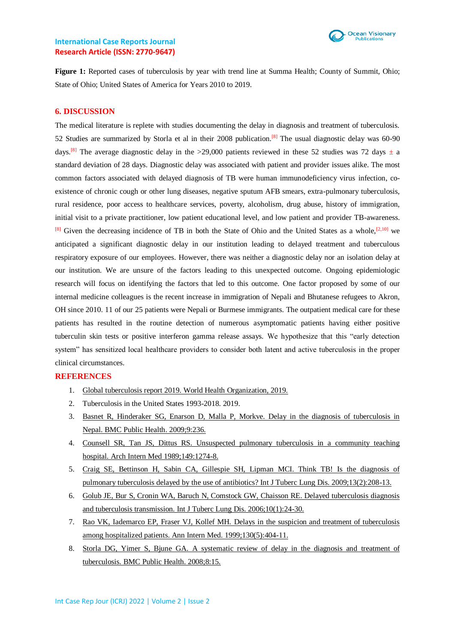

Figure 1: Reported cases of tuberculosis by year with trend line at Summa Health; County of Summit, Ohio; State of Ohio; United States of America for Years 2010 to 2019.

### **6. DISCUSSION**

The medical literature is replete with studies documenting the delay in diagnosis and treatment of tuberculosis. 52 Studies are summarized by Storla et al in their 2008 publication.<sup>[8]</sup> The usual diagnostic delay was 60-90 days.<sup>[8]</sup> The average diagnostic delay in the >29,000 patients reviewed in these 52 studies was 72 days  $\pm$  a standard deviation of 28 days. Diagnostic delay was associated with patient and provider issues alike. The most common factors associated with delayed diagnosis of TB were human immunodeficiency virus infection, coexistence of chronic cough or other lung diseases, negative sputum AFB smears, extra-pulmonary tuberculosis, rural residence, poor access to healthcare services, poverty, alcoholism, drug abuse, history of immigration, initial visit to a private practitioner, low patient educational level, and low patient and provider TB-awareness.  $[8]$  Given the decreasing incidence of TB in both the State of Ohio and the United States as a whole,<sup>[2,10]</sup> we anticipated a significant diagnostic delay in our institution leading to delayed treatment and tuberculous respiratory exposure of our employees. However, there was neither a diagnostic delay nor an isolation delay at our institution. We are unsure of the factors leading to this unexpected outcome. Ongoing epidemiologic research will focus on identifying the factors that led to this outcome. One factor proposed by some of our internal medicine colleagues is the recent increase in immigration of Nepali and Bhutanese refugees to Akron, OH since 2010. 11 of our 25 patients were Nepali or Burmese immigrants. The outpatient medical care for these patients has resulted in the routine detection of numerous asymptomatic patients having either positive tuberculin skin tests or positive interferon gamma release assays. We hypothesize that this "early detection system" has sensitized local healthcare providers to consider both latent and active tuberculosis in the proper clinical circumstances.

### **REFERENCES**

- 1. [Global tuberculosis report 2019. World Health Organization, 2019.](https://www.who.int/teams/global-tuberculosis-programme/tb-reports)
- 2. Tuberculosis in the United States 1993-2018. 2019.
- 3. [Basnet R, Hinderaker SG, Enarson D, Malla P, Morkve. Delay in the diagnosis of tuberculosis in](https://bmcpublichealth.biomedcentral.com/articles/10.1186/1471-2458-9-236)  [Nepal. BMC Public Health. 2009;9:236.](https://bmcpublichealth.biomedcentral.com/articles/10.1186/1471-2458-9-236)
- 4. [Counsell SR, Tan JS, Dittus RS. Unsuspected pulmonary tuberculosis in a community teaching](https://jamanetwork.com/journals/jamainternalmedicine/article-abstract/611735)  [hospital. Arch Intern Med 1989;149:1274-8.](https://jamanetwork.com/journals/jamainternalmedicine/article-abstract/611735)
- 5. [Craig SE, Bettinson H, Sabin CA, Gillespie SH, Lipman MCI. Think TB! Is the diagnosis of](https://pubmed.ncbi.nlm.nih.gov/19146749/)  [pulmonary tuberculosis delayed by the use of antibiotics? Int J Tuberc Lung Dis. 2009;13\(2\):208-13.](https://pubmed.ncbi.nlm.nih.gov/19146749/)
- 6. Golub JE, Bur [S, Cronin WA, Baruch N, Comstock GW, Chaisson RE. Delayed tuberculosis diagnosis](https://pubmed.ncbi.nlm.nih.gov/16466033/)  [and tuberculosis transmission. Int J Tuberc Lung Dis. 2006;10\(1\):24-30.](https://pubmed.ncbi.nlm.nih.gov/16466033/)
- 7. [Rao VK, Iademarco EP, Fraser VJ, Kollef MH. Delays in the suspicion and treatment of tuberculosis](https://pubmed.ncbi.nlm.nih.gov/10068414/)  [among hospitalized patients. Ann Intern Med. 1999;130\(5\):404-11.](https://pubmed.ncbi.nlm.nih.gov/10068414/)
- 8. [Storla DG, Yimer S, Bjune GA. A systematic review of delay in the diagnosis and](https://pubmed.ncbi.nlm.nih.gov/18194573/) treatment of [tuberculosis. BMC Public Health. 2008;8:15.](https://pubmed.ncbi.nlm.nih.gov/18194573/)